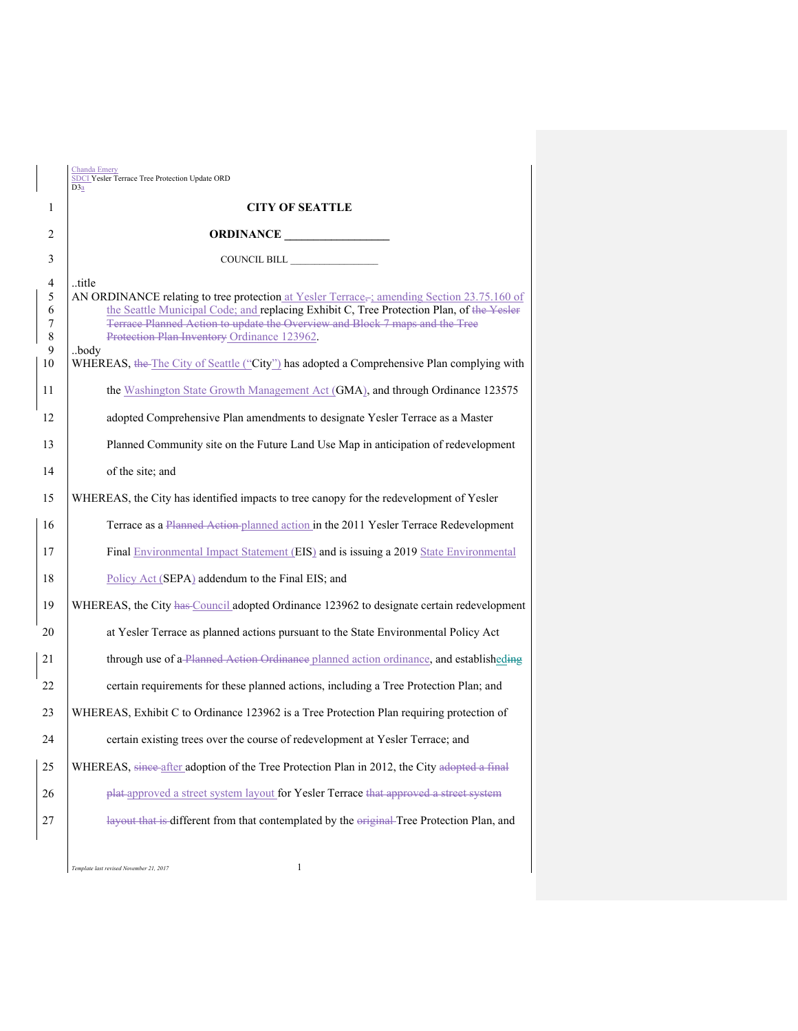|   |                                  | Chanda Emery<br><b>SDCI</b> Yesler Terrace Tree Protection Update ORD<br>D3a                                                                                                                                                                                                                                                         |  |  |
|---|----------------------------------|--------------------------------------------------------------------------------------------------------------------------------------------------------------------------------------------------------------------------------------------------------------------------------------------------------------------------------------|--|--|
| 1 |                                  | <b>CITY OF SEATTLE</b>                                                                                                                                                                                                                                                                                                               |  |  |
| 2 |                                  | ORDINANCE                                                                                                                                                                                                                                                                                                                            |  |  |
| 3 |                                  | COUNCIL BILL                                                                                                                                                                                                                                                                                                                         |  |  |
|   | 4<br>5<br>6<br>7<br>$\,8\,$<br>9 | title<br>AN ORDINANCE relating to tree protection at Yesler Terrace, amending Section 23.75.160 of<br>the Seattle Municipal Code; and replacing Exhibit C, Tree Protection Plan, of the Yesler<br>Terrace Planned Action to update the Overview and Block 7 maps and the Tree<br>Protection Plan Inventory Ordinance 123962.<br>body |  |  |
|   | 10                               | WHEREAS, the The City of Seattle ("City") has adopted a Comprehensive Plan complying with                                                                                                                                                                                                                                            |  |  |
|   | 11                               | the Washington State Growth Management Act (GMA), and through Ordinance 123575                                                                                                                                                                                                                                                       |  |  |
|   | 12                               | adopted Comprehensive Plan amendments to designate Yesler Terrace as a Master                                                                                                                                                                                                                                                        |  |  |
|   | 13                               | Planned Community site on the Future Land Use Map in anticipation of redevelopment                                                                                                                                                                                                                                                   |  |  |
|   | 14                               | of the site; and                                                                                                                                                                                                                                                                                                                     |  |  |
|   | 15                               | WHEREAS, the City has identified impacts to tree canopy for the redevelopment of Yesler                                                                                                                                                                                                                                              |  |  |
|   | 16                               | Terrace as a Planned Action planned action in the 2011 Yesler Terrace Redevelopment                                                                                                                                                                                                                                                  |  |  |
|   | 17                               | Final Environmental Impact Statement (EIS) and is issuing a 2019 State Environmental                                                                                                                                                                                                                                                 |  |  |
|   | 18                               | Policy Act (SEPA) addendum to the Final EIS; and                                                                                                                                                                                                                                                                                     |  |  |
|   | 19                               | WHEREAS, the City has Council adopted Ordinance 123962 to designate certain redevelopment                                                                                                                                                                                                                                            |  |  |
|   | 20                               | at Yesler Terrace as planned actions pursuant to the State Environmental Policy Act                                                                                                                                                                                                                                                  |  |  |
|   | 21                               | through use of a Planned Action Ordinance planned action ordinance, and establisheding                                                                                                                                                                                                                                               |  |  |
|   | 22                               | certain requirements for these planned actions, including a Tree Protection Plan; and                                                                                                                                                                                                                                                |  |  |
|   | 23                               | WHEREAS, Exhibit C to Ordinance 123962 is a Tree Protection Plan requiring protection of                                                                                                                                                                                                                                             |  |  |
|   | 24                               | certain existing trees over the course of redevelopment at Yesler Terrace; and                                                                                                                                                                                                                                                       |  |  |
|   | 25                               | WHEREAS, since after adoption of the Tree Protection Plan in 2012, the City adopted a final                                                                                                                                                                                                                                          |  |  |
|   | 26                               | plat-approved a street system layout for Yesler Terrace that approved a street system                                                                                                                                                                                                                                                |  |  |
|   | 27                               | layout that is different from that contemplated by the original-Tree Protection Plan, and                                                                                                                                                                                                                                            |  |  |
|   |                                  |                                                                                                                                                                                                                                                                                                                                      |  |  |

*Template last revised November 21, 2017* 1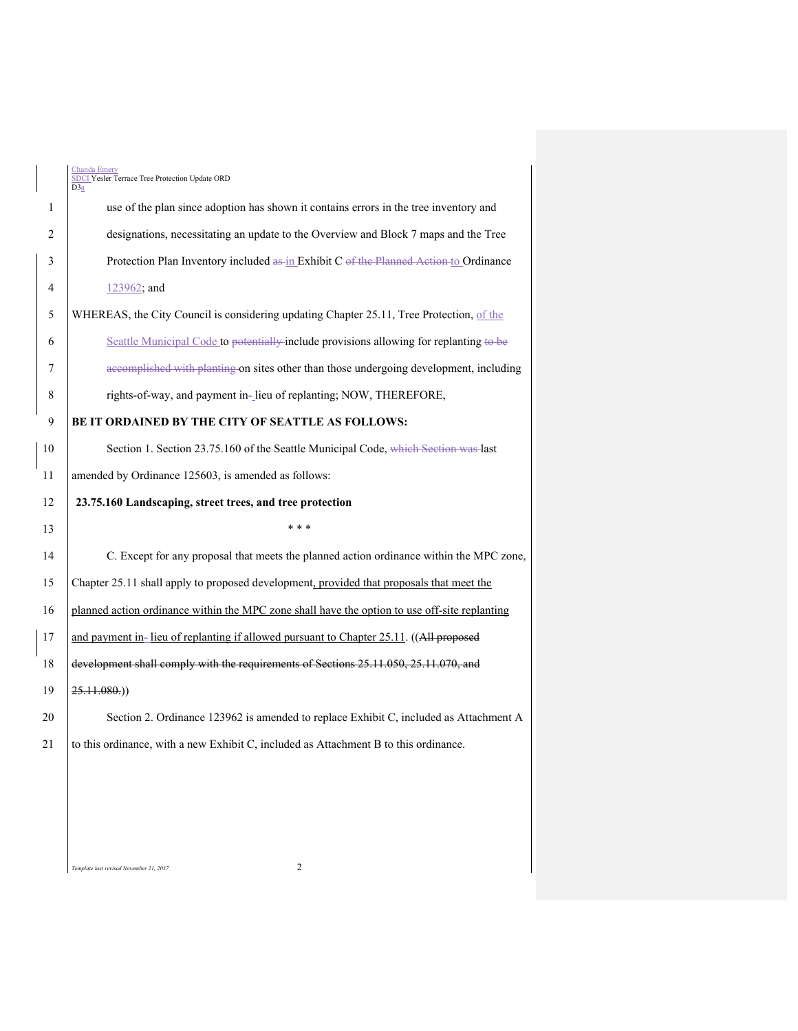|                | <b>Chanda Emery</b><br>SDCI Yesler Terrace Tree Protection Update ORD<br>D <sub>3</sub> a     |  |  |  |
|----------------|-----------------------------------------------------------------------------------------------|--|--|--|
| 1              | use of the plan since adoption has shown it contains errors in the tree inventory and         |  |  |  |
| $\overline{2}$ | designations, necessitating an update to the Overview and Block 7 maps and the Tree           |  |  |  |
| 3              | Protection Plan Inventory included as in Exhibit C of the Planned Action to Ordinance         |  |  |  |
| 4              | 123962; and                                                                                   |  |  |  |
| 5              | WHEREAS, the City Council is considering updating Chapter 25.11, Tree Protection, of the      |  |  |  |
| 6              | Seattle Municipal Code to potentially include provisions allowing for replanting to be        |  |  |  |
| 7              | accomplished with planting on sites other than those undergoing development, including        |  |  |  |
| 8              | rights-of-way, and payment in- lieu of replanting; NOW, THEREFORE,                            |  |  |  |
| 9              | BE IT ORDAINED BY THE CITY OF SEATTLE AS FOLLOWS:                                             |  |  |  |
| 10             | Section 1. Section 23.75.160 of the Seattle Municipal Code, which Section was last            |  |  |  |
| 11             | amended by Ordinance 125603, is amended as follows:                                           |  |  |  |
| 12             | 23.75.160 Landscaping, street trees, and tree protection                                      |  |  |  |
|                |                                                                                               |  |  |  |
| 13             | * * *                                                                                         |  |  |  |
| 14             | C. Except for any proposal that meets the planned action ordinance within the MPC zone,       |  |  |  |
| 15             | Chapter 25.11 shall apply to proposed development, provided that proposals that meet the      |  |  |  |
| 16             | planned action ordinance within the MPC zone shall have the option to use off-site replanting |  |  |  |
| 17             | and payment in-lieu of replanting if allowed pursuant to Chapter 25.11. ((All proposed        |  |  |  |
| 18             | development shall comply with the requirements of Sections 25.11.050, 25.11.070, and          |  |  |  |
| 19             | 25.11.080.)                                                                                   |  |  |  |
| 20             | Section 2. Ordinance 123962 is amended to replace Exhibit C, included as Attachment A         |  |  |  |
| 21             | to this ordinance, with a new Exhibit C, included as Attachment B to this ordinance.          |  |  |  |
|                |                                                                                               |  |  |  |
|                |                                                                                               |  |  |  |
|                |                                                                                               |  |  |  |

*Template last revised November 21, 2017* 2